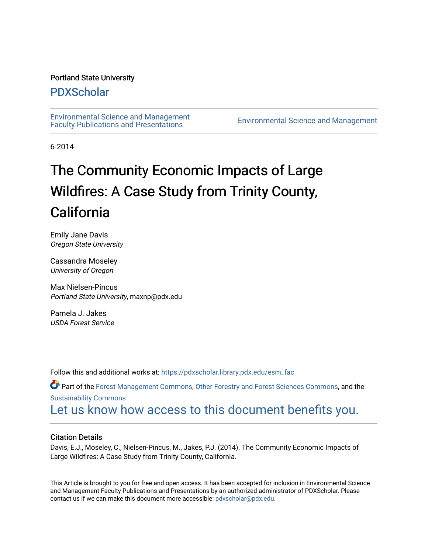# Portland State University

# [PDXScholar](https://pdxscholar.library.pdx.edu/)

[Environmental Science and Management](https://pdxscholar.library.pdx.edu/esm_fac)  [Faculty Publications and Presentations](https://pdxscholar.library.pdx.edu/esm_fac) [Environmental Science and Management](https://pdxscholar.library.pdx.edu/esm) 

6-2014

# The Community Economic Impacts of Large Wildfires: A Case Study from Trinity County, California

Emily Jane Davis Oregon State University

Cassandra Moseley University of Oregon

Max Nielsen-Pincus Portland State University, maxnp@pdx.edu

Pamela J. Jakes USDA Forest Service

Follow this and additional works at: [https://pdxscholar.library.pdx.edu/esm\\_fac](https://pdxscholar.library.pdx.edu/esm_fac?utm_source=pdxscholar.library.pdx.edu%2Fesm_fac%2F54&utm_medium=PDF&utm_campaign=PDFCoverPages) 

Part of the [Forest Management Commons](http://network.bepress.com/hgg/discipline/92?utm_source=pdxscholar.library.pdx.edu%2Fesm_fac%2F54&utm_medium=PDF&utm_campaign=PDFCoverPages), [Other Forestry and Forest Sciences Commons,](http://network.bepress.com/hgg/discipline/94?utm_source=pdxscholar.library.pdx.edu%2Fesm_fac%2F54&utm_medium=PDF&utm_campaign=PDFCoverPages) and the [Sustainability Commons](http://network.bepress.com/hgg/discipline/1031?utm_source=pdxscholar.library.pdx.edu%2Fesm_fac%2F54&utm_medium=PDF&utm_campaign=PDFCoverPages) [Let us know how access to this document benefits you.](http://library.pdx.edu/services/pdxscholar-services/pdxscholar-feedback/?ref=https://pdxscholar.library.pdx.edu/esm_fac/54) 

# Citation Details

Davis, E.J., Moseley, C., Nielsen-Pincus, M., Jakes, P.J. (2014). The Community Economic Impacts of Large Wildfires: A Case Study from Trinity County, California.

This Article is brought to you for free and open access. It has been accepted for inclusion in Environmental Science and Management Faculty Publications and Presentations by an authorized administrator of PDXScholar. Please contact us if we can make this document more accessible: [pdxscholar@pdx.edu](mailto:pdxscholar@pdx.edu).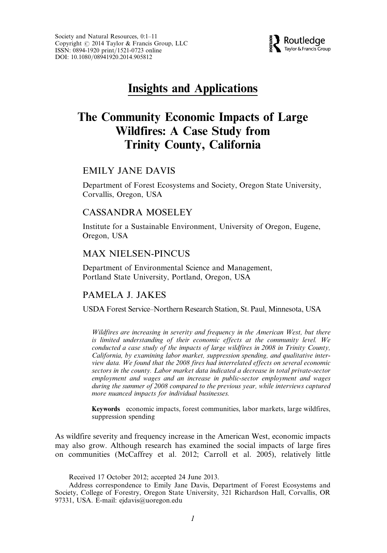

# Insights and Applications

# The Community Economic Impacts of Large Wildfires: A Case Study from Trinity County, California

# EMILY JANE DAVIS

Department of Forest Ecosystems and Society, Oregon State University, Corvallis, Oregon, USA

# CASSANDRA MOSELEY

Institute for a Sustainable Environment, University of Oregon, Eugene, Oregon, USA

# MAX NIELSEN-PINCUS

Department of Environmental Science and Management, Portland State University, Portland, Oregon, USA

# PAMELA J. JAKES

USDA Forest Service–Northern Research Station, St. Paul, Minnesota, USA

Wildfires are increasing in severity and frequency in the American West, but there is limited understanding of their economic effects at the community level. We conducted a case study of the impacts of large wildfires in 2008 in Trinity County, California, by examining labor market, suppression spending, and qualitative interview data. We found that the 2008 fires had interrelated effects on several economic sectors in the county. Labor market data indicated a decrease in total private-sector employment and wages and an increase in public-sector employment and wages during the summer of 2008 compared to the previous year, while interviews captured more nuanced impacts for individual businesses.

Keywords economic impacts, forest communities, labor markets, large wildfires, suppression spending

As wildfire severity and frequency increase in the American West, economic impacts may also grow. Although research has examined the social impacts of large fires on communities (McCaffrey et al. 2012; Carroll et al. 2005), relatively little

Received 17 October 2012; accepted 24 June 2013.

Address correspondence to Emily Jane Davis, Department of Forest Ecosystems and Society, College of Forestry, Oregon State University, 321 Richardson Hall, Corvallis, OR 97331, USA. E-mail: ejdavis@uoregon.edu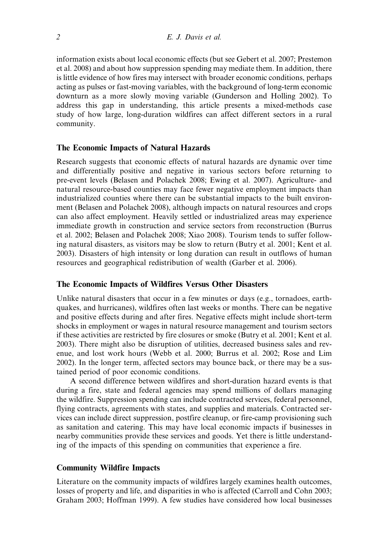information exists about local economic effects (but see Gebert et al. 2007; Prestemon et al. 2008) and about how suppression spending may mediate them. In addition, there is little evidence of how fires may intersect with broader economic conditions, perhaps acting as pulses or fast-moving variables, with the background of long-term economic downturn as a more slowly moving variable (Gunderson and Holling 2002). To address this gap in understanding, this article presents a mixed-methods case study of how large, long-duration wildfires can affect different sectors in a rural community.

#### The Economic Impacts of Natural Hazards

Research suggests that economic effects of natural hazards are dynamic over time and differentially positive and negative in various sectors before returning to pre-event levels (Belasen and Polachek 2008; Ewing et al. 2007). Agriculture- and natural resource-based counties may face fewer negative employment impacts than industrialized counties where there can be substantial impacts to the built environment (Belasen and Polachek 2008), although impacts on natural resources and crops can also affect employment. Heavily settled or industrialized areas may experience immediate growth in construction and service sectors from reconstruction (Burrus et al. 2002; Belasen and Polachek 2008; Xiao 2008). Tourism tends to suffer following natural disasters, as visitors may be slow to return (Butry et al. 2001; Kent et al. 2003). Disasters of high intensity or long duration can result in outflows of human resources and geographical redistribution of wealth (Garber et al. 2006).

#### The Economic Impacts of Wildfires Versus Other Disasters

Unlike natural disasters that occur in a few minutes or days (e.g., tornadoes, earthquakes, and hurricanes), wildfires often last weeks or months. There can be negative and positive effects during and after fires. Negative effects might include short-term shocks in employment or wages in natural resource management and tourism sectors if these activities are restricted by fire closures or smoke (Butry et al. 2001; Kent et al. 2003). There might also be disruption of utilities, decreased business sales and revenue, and lost work hours (Webb et al. 2000; Burrus et al. 2002; Rose and Lim 2002). In the longer term, affected sectors may bounce back, or there may be a sustained period of poor economic conditions.

A second difference between wildfires and short-duration hazard events is that during a fire, state and federal agencies may spend millions of dollars managing the wildfire. Suppression spending can include contracted services, federal personnel, flying contracts, agreements with states, and supplies and materials. Contracted services can include direct suppression, postfire cleanup, or fire-camp provisioning such as sanitation and catering. This may have local economic impacts if businesses in nearby communities provide these services and goods. Yet there is little understanding of the impacts of this spending on communities that experience a fire.

## Community Wildfire Impacts

Literature on the community impacts of wildfires largely examines health outcomes, losses of property and life, and disparities in who is affected (Carroll and Cohn 2003; Graham 2003; Hoffman 1999). A few studies have considered how local businesses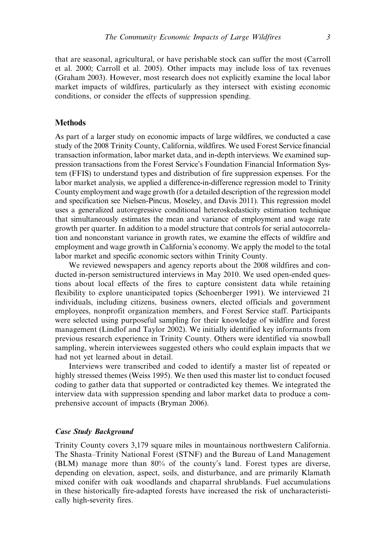that are seasonal, agricultural, or have perishable stock can suffer the most (Carroll et al. 2000; Carroll et al. 2005). Other impacts may include loss of tax revenues (Graham 2003). However, most research does not explicitly examine the local labor market impacts of wildfires, particularly as they intersect with existing economic conditions, or consider the effects of suppression spending.

#### Methods

As part of a larger study on economic impacts of large wildfires, we conducted a case study of the 2008 Trinity County, California, wildfires. We used Forest Service financial transaction information, labor market data, and in-depth interviews. We examined suppression transactions from the Forest Service's Foundation Financial Information System (FFIS) to understand types and distribution of fire suppression expenses. For the labor market analysis, we applied a difference-in-difference regression model to Trinity County employment and wage growth (for a detailed description of the regression model and specification see Nielsen-Pincus, Moseley, and Davis 2011). This regression model uses a generalized autoregressive conditional heteroskedasticity estimation technique that simultaneously estimates the mean and variance of employment and wage rate growth per quarter. In addition to a model structure that controls for serial autocorrelation and nonconstant variance in growth rates, we examine the effects of wildfire and employment and wage growth in California's economy. We apply the model to the total labor market and specific economic sectors within Trinity County.

We reviewed newspapers and agency reports about the 2008 wildfires and conducted in-person semistructured interviews in May 2010. We used open-ended questions about local effects of the fires to capture consistent data while retaining flexibility to explore unanticipated topics (Schoenberger 1991). We interviewed 21 individuals, including citizens, business owners, elected officials and government employees, nonprofit organization members, and Forest Service staff. Participants were selected using purposeful sampling for their knowledge of wildfire and forest management (Lindlof and Taylor 2002). We initially identified key informants from previous research experience in Trinity County. Others were identified via snowball sampling, wherein interviewees suggested others who could explain impacts that we had not yet learned about in detail.

Interviews were transcribed and coded to identify a master list of repeated or highly stressed themes (Weiss 1995). We then used this master list to conduct focused coding to gather data that supported or contradicted key themes. We integrated the interview data with suppression spending and labor market data to produce a comprehensive account of impacts (Bryman 2006).

## Case Study Background

Trinity County covers 3,179 square miles in mountainous northwestern California. The Shasta–Trinity National Forest (STNF) and the Bureau of Land Management (BLM) manage more than 80% of the county's land. Forest types are diverse, depending on elevation, aspect, soils, and disturbance, and are primarily Klamath mixed conifer with oak woodlands and chaparral shrublands. Fuel accumulations in these historically fire-adapted forests have increased the risk of uncharacteristically high-severity fires.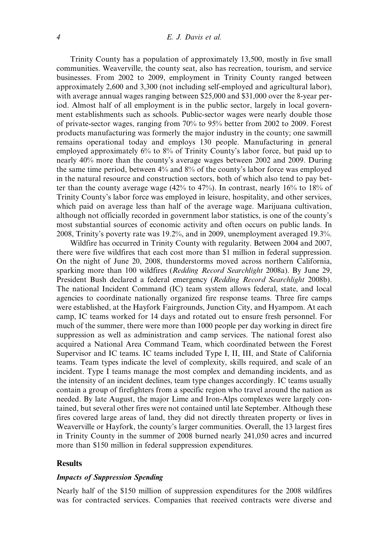#### 4 E. J. Davis et al.

Trinity County has a population of approximately 13,500, mostly in five small communities. Weaverville, the county seat, also has recreation, tourism, and service businesses. From 2002 to 2009, employment in Trinity County ranged between approximately 2,600 and 3,300 (not including self-employed and agricultural labor), with average annual wages ranging between \$25,000 and \$31,000 over the 8-year period. Almost half of all employment is in the public sector, largely in local government establishments such as schools. Public-sector wages were nearly double those of private-sector wages, ranging from 70% to 95% better from 2002 to 2009. Forest products manufacturing was formerly the major industry in the county; one sawmill remains operational today and employs 130 people. Manufacturing in general employed approximately 6% to 8% of Trinity County's labor force, but paid up to nearly 40% more than the county's average wages between 2002 and 2009. During the same time period, between 4% and 8% of the county's labor force was employed in the natural resource and construction sectors, both of which also tend to pay better than the county average wage (42% to 47%). In contrast, nearly 16% to 18% of Trinity County's labor force was employed in leisure, hospitality, and other services, which paid on average less than half of the average wage. Marijuana cultivation, although not officially recorded in government labor statistics, is one of the county's most substantial sources of economic activity and often occurs on public lands. In 2008, Trinity's poverty rate was 19.2%, and in 2009, unemployment averaged 19.3%.

Wildfire has occurred in Trinity County with regularity. Between 2004 and 2007, there were five wildfires that each cost more than \$1 million in federal suppression. On the night of June 20, 2008, thunderstorms moved across northern California, sparking more than 100 wildfires (Redding Record Searchlight 2008a). By June 29, President Bush declared a federal emergency (Redding Record Searchlight 2008b). The national Incident Command (IC) team system allows federal, state, and local agencies to coordinate nationally organized fire response teams. Three fire camps were established, at the Hayfork Fairgrounds, Junction City, and Hyampom. At each camp, IC teams worked for 14 days and rotated out to ensure fresh personnel. For much of the summer, there were more than 1000 people per day working in direct fire suppression as well as administration and camp services. The national forest also acquired a National Area Command Team, which coordinated between the Forest Supervisor and IC teams. IC teams included Type I, II, III, and State of California teams. Team types indicate the level of complexity, skills required, and scale of an incident. Type I teams manage the most complex and demanding incidents, and as the intensity of an incident declines, team type changes accordingly. IC teams usually contain a group of firefighters from a specific region who travel around the nation as needed. By late August, the major Lime and Iron-Alps complexes were largely contained, but several other fires were not contained until late September. Although these fires covered large areas of land, they did not directly threaten property or lives in Weaverville or Hayfork, the county's larger communities. Overall, the 13 largest fires in Trinity County in the summer of 2008 burned nearly 241,050 acres and incurred more than \$150 million in federal suppression expenditures.

#### **Results**

#### Impacts of Suppression Spending

Nearly half of the \$150 million of suppression expenditures for the 2008 wildfires was for contracted services. Companies that received contracts were diverse and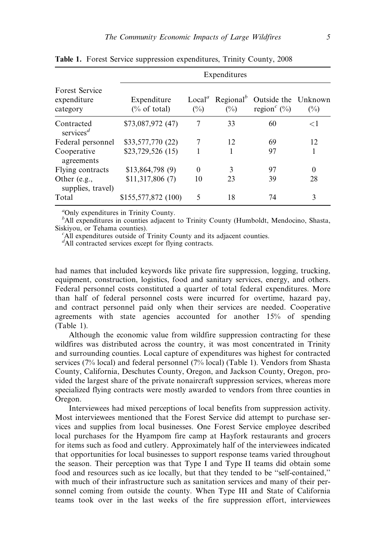| <b>Forest Service</b><br>expenditure<br>category | Expenditures                   |                              |        |                                                                         |          |
|--------------------------------------------------|--------------------------------|------------------------------|--------|-------------------------------------------------------------------------|----------|
|                                                  | Expenditure<br>$(\%$ of total) | Local <sup>a</sup><br>$(\%)$ | $(\%)$ | Regional <sup>b</sup> Outside the Unknown<br>region <sup>c</sup> $(\%)$ | $(\%)$   |
| Contracted<br>services <sup><math>d</math></sup> | \$73,087,972 (47)              | 7                            | 33     | 60                                                                      | ${<}1$   |
| Federal personnel                                | \$33,577,770 (22)              | 7                            | 12     | 69                                                                      | 12       |
| Cooperative<br>agreements                        | \$23,729,526 (15)              |                              | 1      | 97                                                                      | 1        |
| Flying contracts                                 | \$13,864,798(9)                | $\Omega$                     | 3      | 97                                                                      | $\theta$ |
| Other $(e.g.,$<br>supplies, travel)              | \$11,317,806(7)                | 10                           | 23     | 39                                                                      | 28       |
| Total                                            | \$155,577,872 (100)            | 5                            | 18     | 74                                                                      | 3        |

Table 1. Forest Service suppression expenditures, Trinity County, 2008

a Only expenditures in Trinity County.

<sup>b</sup>All expenditures in counties adjacent to Trinity County (Humboldt, Mendocino, Shasta, Siskiyou, or Tehama counties).

 ${}^{c}$ All expenditures outside of Trinity County and its adjacent counties.

<sup>d</sup>All contracted services except for flying contracts.

had names that included keywords like private fire suppression, logging, trucking, equipment, construction, logistics, food and sanitary services, energy, and others. Federal personnel costs constituted a quarter of total federal expenditures. More than half of federal personnel costs were incurred for overtime, hazard pay, and contract personnel paid only when their services are needed. Cooperative agreements with state agencies accounted for another 15% of spending (Table 1).

Although the economic value from wildfire suppression contracting for these wildfires was distributed across the country, it was most concentrated in Trinity and surrounding counties. Local capture of expenditures was highest for contracted services (7% local) and federal personnel (7% local) (Table 1). Vendors from Shasta County, California, Deschutes County, Oregon, and Jackson County, Oregon, provided the largest share of the private nonaircraft suppression services, whereas more specialized flying contracts were mostly awarded to vendors from three counties in Oregon.

Interviewees had mixed perceptions of local benefits from suppression activity. Most interviewees mentioned that the Forest Service did attempt to purchase services and supplies from local businesses. One Forest Service employee described local purchases for the Hyampom fire camp at Hayfork restaurants and grocers for items such as food and cutlery. Approximately half of the interviewees indicated that opportunities for local businesses to support response teams varied throughout the season. Their perception was that Type I and Type II teams did obtain some food and resources such as ice locally, but that they tended to be ''self-contained,'' with much of their infrastructure such as sanitation services and many of their personnel coming from outside the county. When Type III and State of California teams took over in the last weeks of the fire suppression effort, interviewees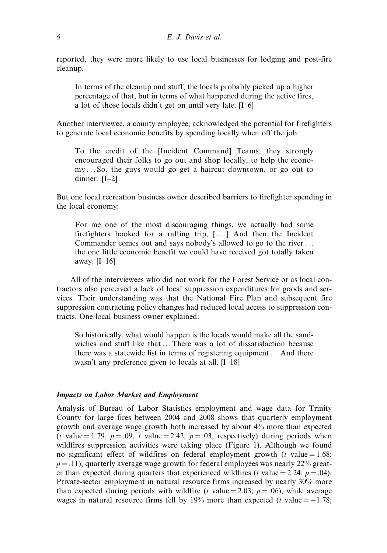reported, they were more likely to use local businesses for lodging and post-fire cleanup.

In terms of the cleanup and stuff, the locals probably picked up a higher percentage of that, but in terms of what happened during the active fires, a lot of those locals didn't get on until very late. [I–6]

Another interviewee, a county employee, acknowledged the potential for firefighters to generate local economic benefits by spending locally when off the job.

To the credit of the [Incident Command] Teams, they strongly encouraged their folks to go out and shop locally, to help the economy ... So, the guys would go get a haircut downtown, or go out to dinner. [I–2]

But one local recreation business owner described barriers to firefighter spending in the local economy:

For me one of the most discouraging things, we actually had some firefighters booked for a rafting trip,  $[\dots]$  And then the Incident Commander comes out and says nobody's allowed to go to the river... the one little economic benefit we could have received got totally taken away. [I–16]

All of the interviewees who did not work for the Forest Service or as local contractors also perceived a lack of local suppression expenditures for goods and services. Their understanding was that the National Fire Plan and subsequent fire suppression contracting policy changes had reduced local access to suppression contracts. One local business owner explained:

So historically, what would happen is the locals would make all the sandwiches and stuff like that ... There was a lot of dissatisfaction because there was a statewide list in terms of registering equipment ... And there wasn't any preference given to locals at all. [I–18]

#### Impacts on Labor Market and Employment

Analysis of Bureau of Labor Statistics employment and wage data for Trinity County for large fires between 2004 and 2008 shows that quarterly employment growth and average wage growth both increased by about 4% more than expected (t value = 1.79,  $p = .09$ , t value = 2.42,  $p = .03$ , respectively) during periods when wildfires suppression activities were taking place (Figure 1). Although we found no significant effect of wildfires on federal employment growth ( $t$  value = 1.68;  $p = .11$ ), quarterly average wage growth for federal employees was nearly 22% greater than expected during quarters that experienced wildfires (t value = 2.24;  $p = .04$ ). Private-sector employment in natural resource firms increased by nearly 30% more than expected during periods with wildfire (t value = 2.03;  $p = .06$ ), while average wages in natural resource firms fell by 19% more than expected (*t* value  $= -1.78$ ;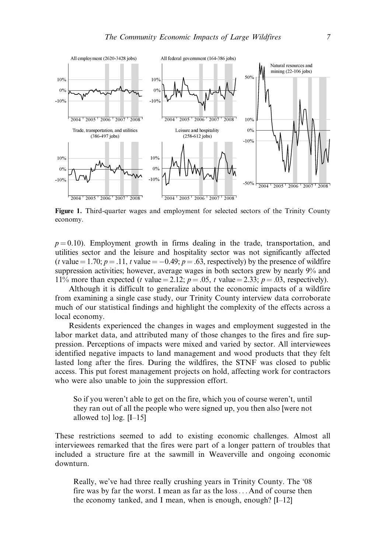

Figure 1. Third-quarter wages and employment for selected sectors of the Trinity County economy.

 $p = 0.10$ ). Employment growth in firms dealing in the trade, transportation, and utilities sector and the leisure and hospitality sector was not significantly affected (t value = 1.70;  $p = .11$ , t value = -0.49;  $p = .63$ , respectively) by the presence of wildfire suppression activities; however, average wages in both sectors grew by nearly 9% and 11% more than expected (t value = 2.12;  $p = .05$ , t value = 2.33;  $p = .03$ , respectively).

Although it is difficult to generalize about the economic impacts of a wildfire from examining a single case study, our Trinity County interview data corroborate much of our statistical findings and highlight the complexity of the effects across a local economy.

Residents experienced the changes in wages and employment suggested in the labor market data, and attributed many of those changes to the fires and fire suppression. Perceptions of impacts were mixed and varied by sector. All interviewees identified negative impacts to land management and wood products that they felt lasted long after the fires. During the wildfires, the STNF was closed to public access. This put forest management projects on hold, affecting work for contractors who were also unable to join the suppression effort.

So if you weren't able to get on the fire, which you of course weren't, until they ran out of all the people who were signed up, you then also [were not allowed tol  $log. [I-15]$ 

These restrictions seemed to add to existing economic challenges. Almost all interviewees remarked that the fires were part of a longer pattern of troubles that included a structure fire at the sawmill in Weaverville and ongoing economic downturn.

Really, we've had three really crushing years in Trinity County. The '08 fire was by far the worst. I mean as far as the loss... And of course then the economy tanked, and I mean, when is enough, enough? [I–12]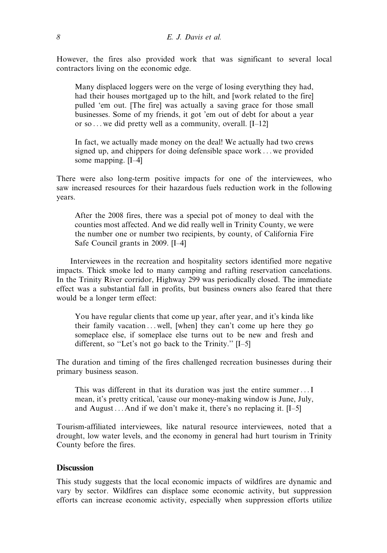However, the fires also provided work that was significant to several local contractors living on the economic edge.

Many displaced loggers were on the verge of losing everything they had, had their houses mortgaged up to the hilt, and [work related to the fire] pulled 'em out. [The fire] was actually a saving grace for those small businesses. Some of my friends, it got 'em out of debt for about a year or so ... we did pretty well as a community, overall. [I–12]

In fact, we actually made money on the deal! We actually had two crews signed up, and chippers for doing defensible space work ... we provided some mapping. [I–4]

There were also long-term positive impacts for one of the interviewees, who saw increased resources for their hazardous fuels reduction work in the following years.

After the 2008 fires, there was a special pot of money to deal with the counties most affected. And we did really well in Trinity County, we were the number one or number two recipients, by county, of California Fire Safe Council grants in 2009. [I–4]

Interviewees in the recreation and hospitality sectors identified more negative impacts. Thick smoke led to many camping and rafting reservation cancelations. In the Trinity River corridor, Highway 299 was periodically closed. The immediate effect was a substantial fall in profits, but business owners also feared that there would be a longer term effect:

You have regular clients that come up year, after year, and it's kinda like their family vacation ... well, [when] they can't come up here they go someplace else, if someplace else turns out to be new and fresh and different, so ''Let's not go back to the Trinity.'' [I–5]

The duration and timing of the fires challenged recreation businesses during their primary business season.

This was different in that its duration was just the entire summer...I mean, it's pretty critical, 'cause our money-making window is June, July, and August ... And if we don't make it, there's no replacing it. [I–5]

Tourism-affiliated interviewees, like natural resource interviewees, noted that a drought, low water levels, and the economy in general had hurt tourism in Trinity County before the fires.

# **Discussion**

This study suggests that the local economic impacts of wildfires are dynamic and vary by sector. Wildfires can displace some economic activity, but suppression efforts can increase economic activity, especially when suppression efforts utilize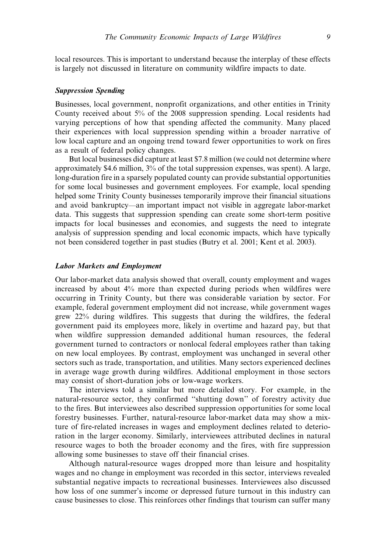local resources. This is important to understand because the interplay of these effects is largely not discussed in literature on community wildfire impacts to date.

#### Suppression Spending

Businesses, local government, nonprofit organizations, and other entities in Trinity County received about 5% of the 2008 suppression spending. Local residents had varying perceptions of how that spending affected the community. Many placed their experiences with local suppression spending within a broader narrative of low local capture and an ongoing trend toward fewer opportunities to work on fires as a result of federal policy changes.

But local businesses did capture at least \$7.8 million (we could not determine where approximately \$4.6 million, 3% of the total suppression expenses, was spent). A large, long-duration fire in a sparsely populated county can provide substantial opportunities for some local businesses and government employees. For example, local spending helped some Trinity County businesses temporarily improve their financial situations and avoid bankruptcy—an important impact not visible in aggregate labor-market data. This suggests that suppression spending can create some short-term positive impacts for local businesses and economies, and suggests the need to integrate analysis of suppression spending and local economic impacts, which have typically not been considered together in past studies (Butry et al. 2001; Kent et al. 2003).

# Labor Markets and Employment

Our labor-market data analysis showed that overall, county employment and wages increased by about 4% more than expected during periods when wildfires were occurring in Trinity County, but there was considerable variation by sector. For example, federal government employment did not increase, while government wages grew 22% during wildfires. This suggests that during the wildfires, the federal government paid its employees more, likely in overtime and hazard pay, but that when wildfire suppression demanded additional human resources, the federal government turned to contractors or nonlocal federal employees rather than taking on new local employees. By contrast, employment was unchanged in several other sectors such as trade, transportation, and utilities. Many sectors experienced declines in average wage growth during wildfires. Additional employment in those sectors may consist of short-duration jobs or low-wage workers.

The interviews told a similar but more detailed story. For example, in the natural-resource sector, they confirmed ''shutting down'' of forestry activity due to the fires. But interviewees also described suppression opportunities for some local forestry businesses. Further, natural-resource labor-market data may show a mixture of fire-related increases in wages and employment declines related to deterioration in the larger economy. Similarly, interviewees attributed declines in natural resource wages to both the broader economy and the fires, with fire suppression allowing some businesses to stave off their financial crises.

Although natural-resource wages dropped more than leisure and hospitality wages and no change in employment was recorded in this sector, interviews revealed substantial negative impacts to recreational businesses. Interviewees also discussed how loss of one summer's income or depressed future turnout in this industry can cause businesses to close. This reinforces other findings that tourism can suffer many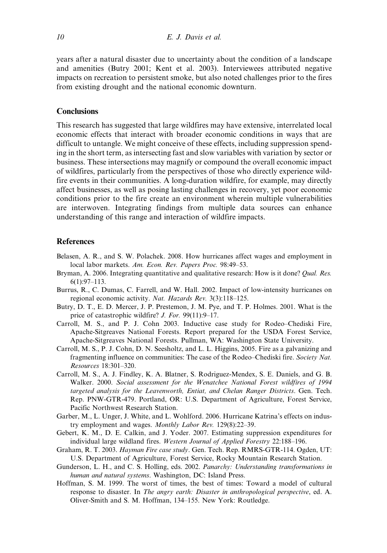years after a natural disaster due to uncertainty about the condition of a landscape and amenities (Butry 2001; Kent et al. 2003). Interviewees attributed negative impacts on recreation to persistent smoke, but also noted challenges prior to the fires from existing drought and the national economic downturn.

## **Conclusions**

This research has suggested that large wildfires may have extensive, interrelated local economic effects that interact with broader economic conditions in ways that are difficult to untangle. We might conceive of these effects, including suppression spending in the short term, as intersecting fast and slow variables with variation by sector or business. These intersections may magnify or compound the overall economic impact of wildfires, particularly from the perspectives of those who directly experience wildfire events in their communities. A long-duration wildfire, for example, may directly affect businesses, as well as posing lasting challenges in recovery, yet poor economic conditions prior to the fire create an environment wherein multiple vulnerabilities are interwoven. Integrating findings from multiple data sources can enhance understanding of this range and interaction of wildfire impacts.

## References

- Belasen, A. R., and S. W. Polachek. 2008. How hurricanes affect wages and employment in local labor markets. Am. Econ. Rev. Papers Proc. 98:49–53.
- Bryman, A. 2006. Integrating quantitative and qualitative research: How is it done? *Qual. Res.* 6(1):97–113.
- Burrus, R., C. Dumas, C. Farrell, and W. Hall. 2002. Impact of low-intensity hurricanes on regional economic activity. Nat. Hazards Rev. 3(3):118–125.
- Butry, D. T., E. D. Mercer, J. P. Prestemon, J. M. Pye, and T. P. Holmes. 2001. What is the price of catastrophic wildfire? J. For. 99(11):9–17.
- Carroll, M. S., and P. J. Cohn 2003. Inductive case study for Rodeo–Chediski Fire, Apache-Sitgreaves National Forests. Report prepared for the USDA Forest Service, Apache-Sitgreaves National Forests. Pullman, WA: Washington State University.
- Carroll, M. S., P. J. Cohn, D. N. Seesholtz, and L. L. Higgins, 2005. Fire as a galvanizing and fragmenting influence on communities: The case of the Rodeo–Chediski fire. Society Nat. Resources 18:301–320.
- Carroll, M. S., A. J. Findley, K. A. Blatner, S. Rodriguez-Mendex, S. E. Daniels, and G. B. Walker. 2000. Social assessment for the Wenatchee National Forest wildfires of 1994 targeted analysis for the Leavenworth, Entiat, and Chelan Ranger Districts. Gen. Tech. Rep. PNW-GTR-479. Portland, OR: U.S. Department of Agriculture, Forest Service, Pacific Northwest Research Station.
- Garber, M., L. Unger, J. White, and L. Wohlford. 2006. Hurricane Katrina's effects on industry employment and wages. Monthly Labor Rev. 129(8):22–39.
- Gebert, K. M., D. E. Calkin, and J. Yoder. 2007. Estimating suppression expenditures for individual large wildland fires. Western Journal of Applied Forestry 22:188–196.
- Graham, R. T. 2003. Hayman Fire case study. Gen. Tech. Rep. RMRS-GTR-114. Ogden, UT: U.S. Department of Agriculture, Forest Service, Rocky Mountain Research Station.
- Gunderson, L. H., and C. S. Holling, eds. 2002. Panarchy: Understanding transformations in human and natural systems. Washington, DC: Island Press.
- Hoffman, S. M. 1999. The worst of times, the best of times: Toward a model of cultural response to disaster. In The angry earth: Disaster in anthropological perspective, ed. A. Oliver-Smith and S. M. Hoffman, 134–155. New York: Routledge.